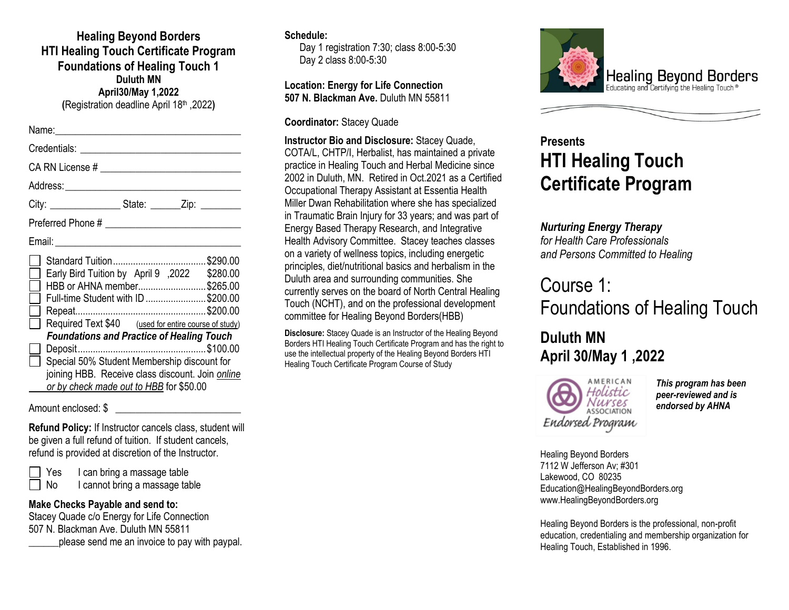**Healing Beyond Borders HTI Healing Touch Certificate Program Foundations of Healing Touch 1 Duluth MN April30/May 1,2022 (**Registration deadline April 18th ,2022**)**

| Credentials: <u>_____________________________</u>                                                                                                                                                                                                                                                                                        |
|------------------------------------------------------------------------------------------------------------------------------------------------------------------------------------------------------------------------------------------------------------------------------------------------------------------------------------------|
|                                                                                                                                                                                                                                                                                                                                          |
|                                                                                                                                                                                                                                                                                                                                          |
| City: __________________________________State: _________________________________                                                                                                                                                                                                                                                         |
|                                                                                                                                                                                                                                                                                                                                          |
|                                                                                                                                                                                                                                                                                                                                          |
| \$280.00 Early Bird Tuition by April 9, 2022 \$280.00<br>HBB or AHNA member\$265.00<br>Full-time Student with ID \$200.00<br>Required Text \$40 (used for entire course of study)<br><b>Foundations and Practice of Healing Touch</b><br>Special 50% Student Membership discount for<br>joining HBB. Receive class discount. Join online |
| or by check made out to HBB for \$50.00                                                                                                                                                                                                                                                                                                  |

Amount enclosed: \$

**Refund Policy:** If Instructor cancels class, student will be given a full refund of tuition. If student cancels, refund is provided at discretion of the Instructor.

Yes I can bring a massage table No I cannot bring a massage table

#### **Make Checks Payable and send to:**

Stacey Quade c/o Energy for Life Connection 507 N. Blackman Ave. Duluth MN 55811 \_\_\_\_\_\_please send me an invoice to pay with paypal.

#### **Schedule:**

Day 1 registration 7:30; class 8:00-5:30 Day 2 class 8:00-5:30

**Location: Energy for Life Connection 507 N. Blackman Ave.** Duluth MN 55811

**Coordinator:** Stacey Quade

**Instructor Bio and Disclosure:** Stacey Quade, COTA/L, CHTP/I, Herbalist, has maintained a private practice in Healing Touch and Herbal Medicine since 2002 in Duluth, MN. Retired in Oct.2021 as a Certified Occupational Therapy Assistant at Essentia Health Miller Dwan Rehabilitation where she has specialized in Traumatic Brain Injury for 33 years; and was part of Energy Based Therapy Research, and Integrative Health Advisory Committee. Stacey teaches classes on a variety of wellness topics, including energetic principles, diet/nutritional basics and herbalism in the Duluth area and surrounding communities. She currently serves on the board of North Central Healing Touch (NCHT), and on the professional development committee for Healing Beyond Borders(HBB)

**Disclosure:** Stacey Quade is an Instructor of the Healing Beyond Borders HTI Healing Touch Certificate Program and has the right to use the intellectual property of the Healing Beyond Borders HTI Healing Touch Certificate Program Course of Study



# **Presents HTI Healing Touch Certificate Program**

## *Nurturing Energy Therapy*

*for Health Care Professionals and Persons Committed to Healing*

# Course 1: Foundations of Healing Touch

# **Duluth MN April 30/May 1 ,2022**



*This program has been peer-reviewed and is endorsed by AHNA*

Healing Beyond Borders 7112 W Jefferson Av; #301 Lakewood, CO 80235 Education@HealingBeyondBorders.org www.HealingBeyondBorders.org

Healing Beyond Borders is the professional, non-profit education, credentialing and membership organization for Healing Touch, Established in 1996.